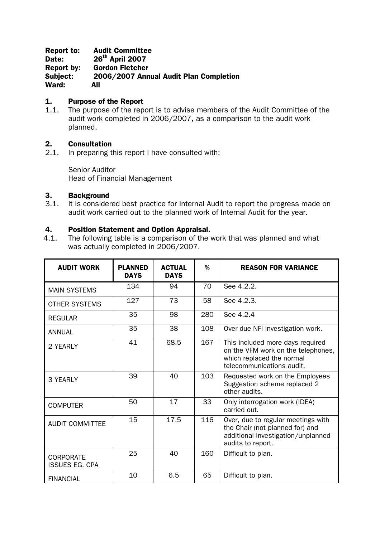### Report to: Audit Committee Date: 26<sup>th</sup> April 2007 Report by: Gordon Fletcher Subject: 2006/2007 Annual Audit Plan Completion Ward: All

# 1. Purpose of the Report

1.1. The purpose of the report is to advise members of the Audit Committee of the audit work completed in 2006/2007, as a comparison to the audit work planned.

## 2. Consultation

2.1. In preparing this report I have consulted with:

Senior Auditor Head of Financial Management

### 3. Background

3.1. It is considered best practice for Internal Audit to report the progress made on audit work carried out to the planned work of Internal Audit for the year.

### 4. Position Statement and Option Appraisal.

4.1. The following table is a comparison of the work that was planned and what was actually completed in 2006/2007.

| <b>AUDIT WORK</b>                         | <b>PLANNED</b><br><b>DAYS</b> | <b>ACTUAL</b><br><b>DAYS</b> | %   | <b>REASON FOR VARIANCE</b>                                                                                                       |
|-------------------------------------------|-------------------------------|------------------------------|-----|----------------------------------------------------------------------------------------------------------------------------------|
| <b>MAIN SYSTEMS</b>                       | 134                           | 94                           | 70  | See 4.2.2.                                                                                                                       |
| <b>OTHER SYSTEMS</b>                      | 127                           | 73                           | 58  | See 4.2.3.                                                                                                                       |
| <b>REGULAR</b>                            | 35                            | 98                           | 280 | See 4.2.4                                                                                                                        |
| <b>ANNUAL</b>                             | 35                            | 38                           | 108 | Over due NFI investigation work.                                                                                                 |
| 2 YEARLY                                  | 41                            | 68.5                         | 167 | This included more days required<br>on the VFM work on the telephones,<br>which replaced the normal<br>telecommunications audit. |
| 3 YEARLY                                  | 39                            | 40                           | 103 | Requested work on the Employees<br>Suggestion scheme replaced 2<br>other audits.                                                 |
| <b>COMPUTER</b>                           | 50                            | 17                           | 33  | Only interrogation work (IDEA)<br>carried out.                                                                                   |
| <b>AUDIT COMMITTEE</b>                    | 15                            | 17.5                         | 116 | Over, due to regular meetings with<br>the Chair (not planned for) and<br>additional investigation/unplanned<br>audits to report. |
| <b>CORPORATE</b><br><b>ISSUES EG. CPA</b> | 25                            | 40                           | 160 | Difficult to plan.                                                                                                               |
| <b>FINANCIAL</b>                          | 10                            | 6.5                          | 65  | Difficult to plan.                                                                                                               |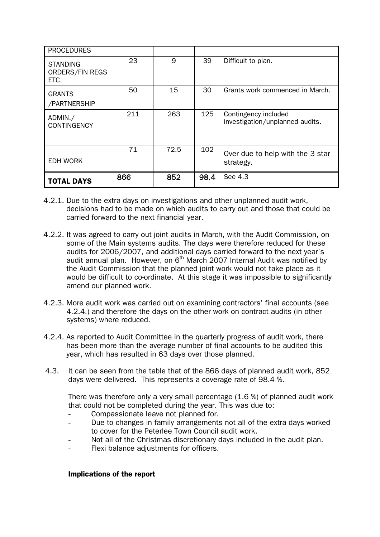| <b>PROCEDURES</b>                          |     |      |      |                                                         |
|--------------------------------------------|-----|------|------|---------------------------------------------------------|
| <b>STANDING</b><br>ORDERS/FIN REGS<br>ETC. | 23  | 9    | 39   | Difficult to plan.                                      |
| <b>GRANTS</b><br>/PARTNERSHIP              | 50  | 15   | 30   | Grants work commenced in March.                         |
| ADMIN./<br><b>CONTINGENCY</b>              | 211 | 263  | 125  | Contingency included<br>investigation/unplanned audits. |
| <b>EDH WORK</b>                            | 71  | 72.5 | 102  | Over due to help with the 3 star<br>strategy.           |
| <b>TOTAL DAYS</b>                          | 866 | 852  | 98.4 | See 4.3                                                 |

- 4.2.1. Due to the extra days on investigations and other unplanned audit work, decisions had to be made on which audits to carry out and those that could be carried forward to the next financial year.
- 4.2.2. It was agreed to carry out joint audits in March, with the Audit Commission, on some of the Main systems audits. The days were therefore reduced for these audits for 2006/2007, and additional days carried forward to the next year's audit annual plan. However, on  $6<sup>th</sup>$  March 2007 Internal Audit was notified by the Audit Commission that the planned joint work would not take place as it would be difficult to co-ordinate. At this stage it was impossible to significantly amend our planned work.
- 4.2.3. More audit work was carried out on examining contractors' final accounts (see 4.2.4.) and therefore the days on the other work on contract audits (in other systems) where reduced.
- 4.2.4. As reported to Audit Committee in the quarterly progress of audit work, there has been more than the average number of final accounts to be audited this year, which has resulted in 63 days over those planned.
- 4.3. It can be seen from the table that of the 866 days of planned audit work, 852 days were delivered. This represents a coverage rate of 98.4 %.

There was therefore only a very small percentage (1.6 %) of planned audit work that could not be completed during the year. This was due to:

- Compassionate leave not planned for.
- Due to changes in family arrangements not all of the extra days worked to cover for the Peterlee Town Council audit work.
- Not all of the Christmas discretionary days included in the audit plan.
- Flexi balance adjustments for officers.

### Implications of the report